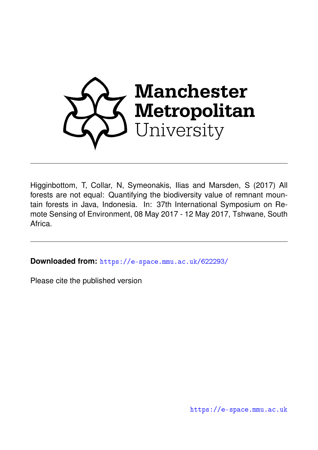

Higginbottom, T, Collar, N, Symeonakis, Ilias and Marsden, S (2017) All forests are not equal: Quantifying the biodiversity value of remnant mountain forests in Java, Indonesia. In: 37th International Symposium on Remote Sensing of Environment, 08 May 2017 - 12 May 2017, Tshwane, South Africa.

**Downloaded from:** <https://e-space.mmu.ac.uk/622293/>

Please cite the published version

<https://e-space.mmu.ac.uk>